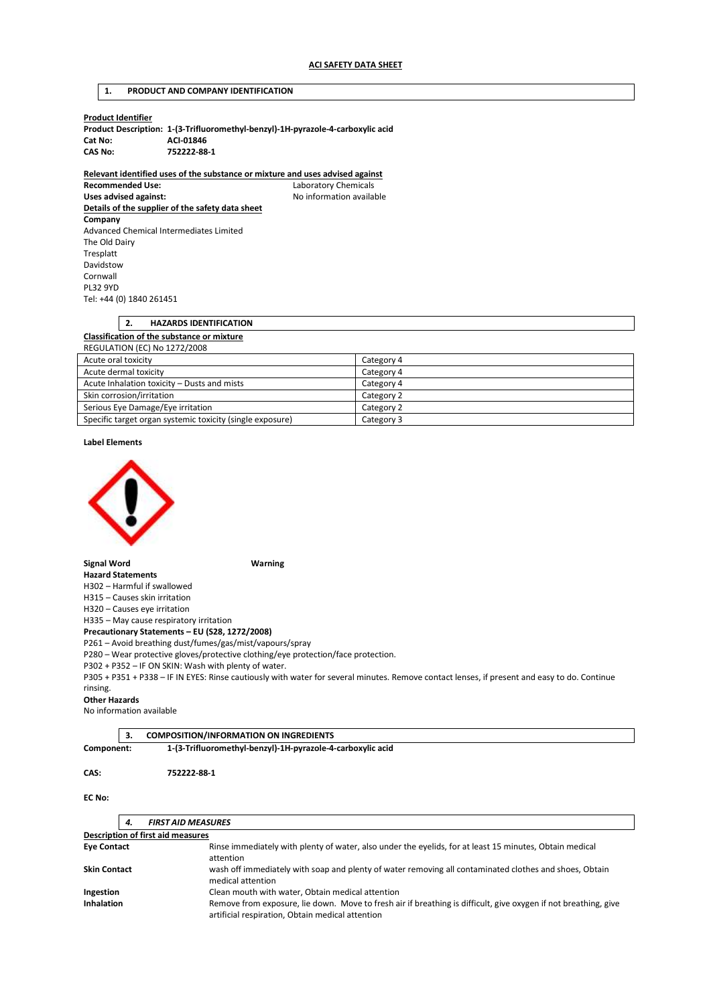## **1. PRODUCT AND COMPANY IDENTIFICATION**

| Product Identifier |  |
|--------------------|--|
|--------------------|--|

|         | Product Description: 1-(3-Trifluoromethyl-benzyl)-1H-pyrazole-4-carboxylic acid |
|---------|---------------------------------------------------------------------------------|
| Cat No: | ACI-01846                                                                       |
| CAS No: | 752222-88-1                                                                     |

**Relevant identified uses of the substance or mixture and uses advised against** 

**Recommended Use:** Laboratory Chemicals Uses advised against: **No information available Details of the supplier of the safety data sheet Company**  Advanced Chemical Intermediates Limited The Old Dairy Tresplatt Davidstow Cornwall PL32 9YD Tel: +44 (0) 1840 261451

| <b>HAZARDS IDENTIFICATION</b>                     |            |
|---------------------------------------------------|------------|
| <b>Classification of the substance or mixture</b> |            |
| REGULATION (EC) No 1272/2008                      |            |
| Acute oral toxicity                               | Category 4 |
| Acute dermal toxicity                             | Category 4 |
| Acute Inhalation toxicity - Dusts and mists       | Category 4 |
| Skin corrosion/irritation                         | Category 2 |

| Serious Eye Damage/Eye irritation                         | Category 2 |
|-----------------------------------------------------------|------------|
| Specific target organ systemic toxicity (single exposure) | Category 3 |
|                                                           |            |

**Label Elements** 



**Signal Word Warning** 

**Hazard Statements**  H302 – Harmful if swallowed

H315 – Causes skin irritation

H320 – Causes eye irritation

H335 – May cause respiratory irritation

**Precautionary Statements – EU (S28, 1272/2008)** 

P261 – Avoid breathing dust/fumes/gas/mist/vapours/spray

P280 – Wear protective gloves/protective clothing/eye protection/face protection.

P302 + P352 – IF ON SKIN: Wash with plenty of water.

P305 + P351 + P338 – IF IN EYES: Rinse cautiously with water for several minutes. Remove contact lenses, if present and easy to do. Continue rinsing.

### **Other Hazards**

No information available

**3. COMPOSITION/INFORMATION ON INGREDIENTS** 

**Component: 1-(3-Trifluoromethyl-benzyl)-1H-pyrazole-4-carboxylic acid** 

### **CAS: 752222-88-1**

**EC No:** 

|                     | 4. | <b>FIRST AID MEASURES</b>                                                                                                                                           |
|---------------------|----|---------------------------------------------------------------------------------------------------------------------------------------------------------------------|
|                     |    | <b>Description of first aid measures</b>                                                                                                                            |
| <b>Eye Contact</b>  |    | Rinse immediately with plenty of water, also under the eyelids, for at least 15 minutes, Obtain medical<br>attention                                                |
| <b>Skin Contact</b> |    | wash off immediately with soap and plenty of water removing all contaminated clothes and shoes, Obtain<br>medical attention                                         |
| Ingestion           |    | Clean mouth with water, Obtain medical attention                                                                                                                    |
| <b>Inhalation</b>   |    | Remove from exposure, lie down. Move to fresh air if breathing is difficult, give oxygen if not breathing, give<br>artificial respiration, Obtain medical attention |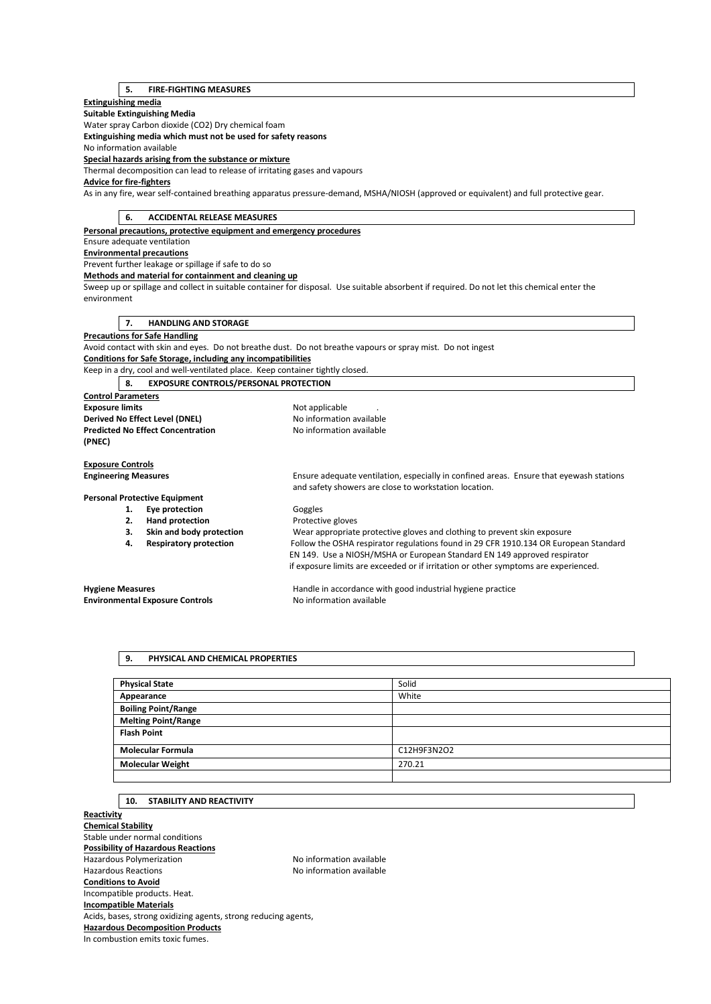# **5. FIRE-FIGHTING MEASURES**

## **Extinguishing media**

**Suitable Extinguishing Media** 

Water spray Carbon dioxide (CO2) Dry chemical foam

**Extinguishing media which must not be used for safety reasons** 

No information available

**Special hazards arising from the substance or mixture** 

Thermal decomposition can lead to release of irritating gases and vapours

# **Advice for fire-fighters**

As in any fire, wear self-contained breathing apparatus pressure-demand, MSHA/NIOSH (approved or equivalent) and full protective gear.

| 6.<br><b>ACCIDENTAL RELEASE MEASURES</b>                                      |                                                                                                                                             |  |
|-------------------------------------------------------------------------------|---------------------------------------------------------------------------------------------------------------------------------------------|--|
| Personal precautions, protective equipment and emergency procedures           |                                                                                                                                             |  |
| Ensure adequate ventilation                                                   |                                                                                                                                             |  |
| <b>Environmental precautions</b>                                              |                                                                                                                                             |  |
| Prevent further leakage or spillage if safe to do so                          |                                                                                                                                             |  |
| Methods and material for containment and cleaning up                          |                                                                                                                                             |  |
|                                                                               | Sweep up or spillage and collect in suitable container for disposal. Use suitable absorbent if required. Do not let this chemical enter the |  |
| environment                                                                   |                                                                                                                                             |  |
|                                                                               |                                                                                                                                             |  |
| <b>HANDLING AND STORAGE</b><br>7.                                             |                                                                                                                                             |  |
| <b>Precautions for Safe Handling</b>                                          |                                                                                                                                             |  |
|                                                                               | Avoid contact with skin and eyes. Do not breathe dust. Do not breathe vapours or spray mist. Do not ingest                                  |  |
| Conditions for Safe Storage, including any incompatibilities                  |                                                                                                                                             |  |
| Keep in a dry, cool and well-ventilated place. Keep container tightly closed. |                                                                                                                                             |  |
| <b>EXPOSURE CONTROLS/PERSONAL PROTECTION</b><br>8.                            |                                                                                                                                             |  |
| <b>Control Parameters</b>                                                     |                                                                                                                                             |  |
| <b>Exposure limits</b>                                                        | Not applicable                                                                                                                              |  |
| Derived No Effect Level (DNEL)                                                | No information available                                                                                                                    |  |
| <b>Predicted No Effect Concentration</b>                                      | No information available                                                                                                                    |  |
| (PNEC)                                                                        |                                                                                                                                             |  |
|                                                                               |                                                                                                                                             |  |
| <b>Exposure Controls</b>                                                      |                                                                                                                                             |  |
| <b>Engineering Measures</b>                                                   | Ensure adequate ventilation, especially in confined areas. Ensure that eyewash stations                                                     |  |
|                                                                               | and safety showers are close to workstation location.                                                                                       |  |
| <b>Personal Protective Equipment</b>                                          |                                                                                                                                             |  |
| Eye protection<br>1.                                                          | Goggles                                                                                                                                     |  |
| <b>Hand protection</b><br>2.                                                  | Protective gloves                                                                                                                           |  |
| Skin and body protection<br>3.                                                | Wear appropriate protective gloves and clothing to prevent skin exposure                                                                    |  |
| <b>Respiratory protection</b><br>4.                                           | Follow the OSHA respirator regulations found in 29 CFR 1910.134 OR European Standard                                                        |  |
|                                                                               | EN 149. Use a NIOSH/MSHA or European Standard EN 149 approved respirator                                                                    |  |
|                                                                               | if exposure limits are exceeded or if irritation or other symptoms are experienced.                                                         |  |
| <b>Hygiene Measures</b>                                                       | Handle in accordance with good industrial hygiene practice                                                                                  |  |
| <b>Environmental Exposure Controls</b>                                        | No information available                                                                                                                    |  |
|                                                                               |                                                                                                                                             |  |

### **9. PHYSICAL AND CHEMICAL PROPERTIES**

| <b>Physical State</b>      | Solid       |
|----------------------------|-------------|
| Appearance                 | White       |
| <b>Boiling Point/Range</b> |             |
| <b>Melting Point/Range</b> |             |
| <b>Flash Point</b>         |             |
| <b>Molecular Formula</b>   | C12H9F3N2O2 |
| <b>Molecular Weight</b>    | 270.21      |
|                            |             |

# **10. STABILITY AND REACTIVITY**

**Reactivity Chemical Stability**  Stable under normal conditions **Possibility of Hazardous Reactions**  Hazardous Polymerization and the Society of the No information available<br>Hazardous Reactions available No information available No information available **Conditions to Avoid**  Incompatible products. Heat. **Incompatible Materials**  Acids, bases, strong oxidizing agents, strong reducing agents, **Hazardous Decomposition Products**  In combustion emits toxic fumes.